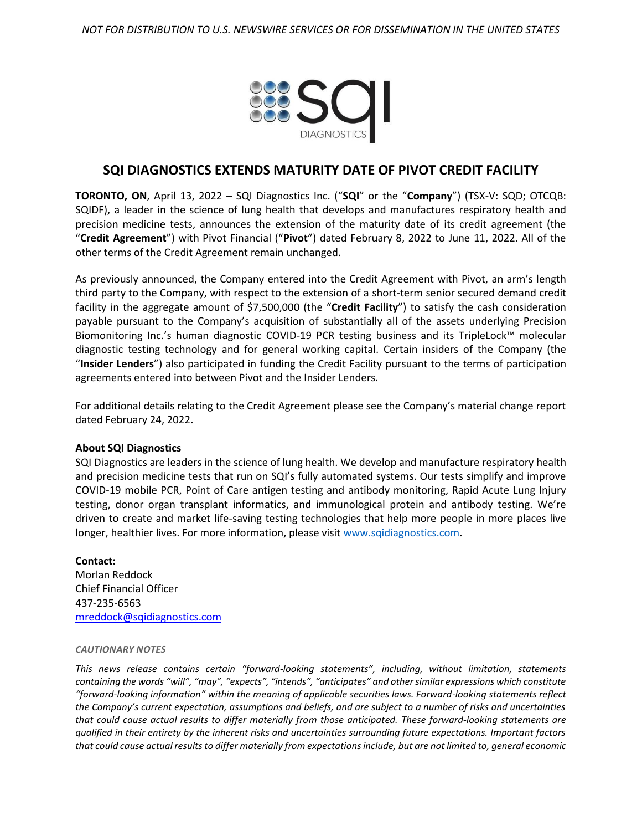

## **SQI DIAGNOSTICS EXTENDS MATURITY DATE OF PIVOT CREDIT FACILITY**

**TORONTO, ON**, April 13, 2022 – SQI Diagnostics Inc. ("**SQI**" or the "**Company**") (TSX-V: SQD; OTCQB: SQIDF), a leader in the science of lung health that develops and manufactures respiratory health and precision medicine tests, announces the extension of the maturity date of its credit agreement (the "**Credit Agreement**") with Pivot Financial ("**Pivot**") dated February 8, 2022 to June 11, 2022. All of the other terms of the Credit Agreement remain unchanged.

As previously announced, the Company entered into the Credit Agreement with Pivot, an arm's length third party to the Company, with respect to the extension of a short-term senior secured demand credit facility in the aggregate amount of \$7,500,000 (the "**Credit Facility**") to satisfy the cash consideration payable pursuant to the Company's acquisition of substantially all of the assets underlying Precision Biomonitoring Inc.'s human diagnostic COVID-19 PCR testing business and its TripleLock™ molecular diagnostic testing technology and for general working capital. Certain insiders of the Company (the "**Insider Lenders**") also participated in funding the Credit Facility pursuant to the terms of participation agreements entered into between Pivot and the Insider Lenders.

For additional details relating to the Credit Agreement please see the Company's material change report dated February 24, 2022.

## **About SQI Diagnostics**

SQI Diagnostics are leaders in the science of lung health. We develop and manufacture respiratory health and precision medicine tests that run on SQI's fully automated systems. Our tests simplify and improve COVID-19 mobile PCR, Point of Care antigen testing and antibody monitoring, Rapid Acute Lung Injury testing, donor organ transplant informatics, and immunological protein and antibody testing. We're driven to create and market life-saving testing technologies that help more people in more places live longer, healthier lives. For more information, please visit [www.sqidiagnostics.com.](http://www.sqidiagnostics.com/)

## **Contact:**

Morlan Reddock Chief Financial Officer 437-235-6563 [mreddock@sqidiagnostics.com](mailto:mreddock@sqidiagnostics.com)

## *CAUTIONARY NOTES*

*This news release contains certain "forward-looking statements", including, without limitation, statements*  containing the words "will", "may", "expects", "intends", "anticipates" and other similar expressions which constitute *"forward-looking information" within the meaning of applicable securities laws. Forward-looking statements reflect the Company's current expectation, assumptions and beliefs, and are subject to a number of risks and uncertainties that could cause actual results to differ materially from those anticipated. These forward-looking statements are qualified in their entirety by the inherent risks and uncertainties surrounding future expectations. Important factors that could cause actual results to differ materially from expectations include, but are not limited to, general economic*